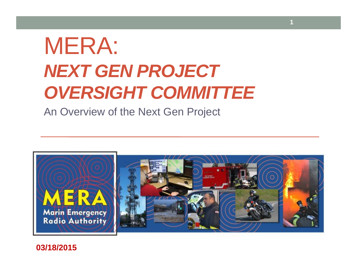# MERA: *NEXT GEN PROJECT OVERSIGHT COMMITTEE*

An Overview of the Next Gen Project



**1**

**03/18/2015**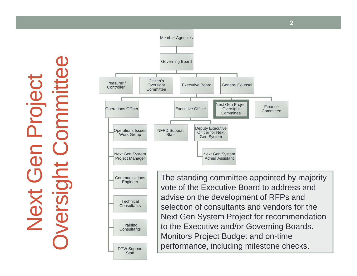Next Gen Project Projec Xel



**2**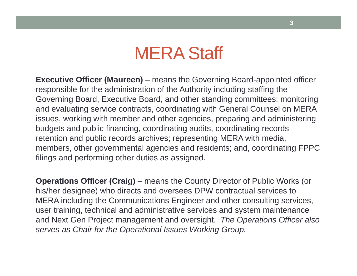**Executive Officer (Maureen)** – means the Governing Board-appointed officer responsible for the administration of the Authority including staffing the Governing Board, Executive Board, and other standing committees; monitoring and evaluating service contracts, coordinating with General Counsel on MERA issues, working with member and other agencies, preparing and administering budgets and public financing, coordinating audits, coordinating records retention and public records archives; representing MERA with media, members, other governmental agencies and residents; and, coordinating FPPC filings and performing other duties as assigned.

**Operations Officer (Craig)** – means the County Director of Public Works (or his/her designee) who directs and oversees DPW contractual services to MERA including the Communications Engineer and other consulting services, user training, technical and administrative services and system maintenance and Next Gen Project management and oversight. *The Operations Officer also serves as Chair for the Operational Issues Working Group.*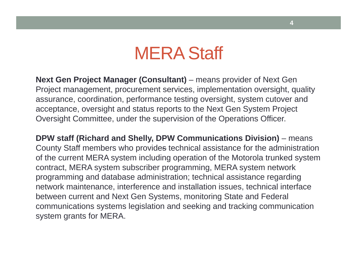**Next Gen Project Manager (Consultant)** – means provider of Next Gen Project management, procurement services, implementation oversight, quality assurance, coordination, performance testing oversight, system cutover and acceptance, oversight and status reports to the Next Gen System Project Oversight Committee, under the supervision of the Operations Officer.

**DPW staff (Richard and Shelly, DPW Communications Division)** – means County Staff members who provides technical assistance for the administration of the current MERA system including operation of the Motorola trunked system contract, MERA system subscriber programming, MERA system network programming and database administration; technical assistance regarding network maintenance, interference and installation issues, technical interface between current and Next Gen Systems, monitoring State and Federal communications systems legislation and seeking and tracking communication system grants for MERA.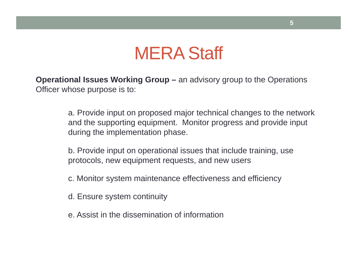**Operational Issues Working Group –** an advisory group to the Operations Officer whose purpose is to:

> a. Provide input on proposed major technical changes to the network and the supporting equipment. Monitor progress and provide input during the implementation phase.

b. Provide input on operational issues that include training, use protocols, new equipment requests, and new users

- c. Monitor system maintenance effectiveness and efficiency
- d. Ensure system continuity
- e. Assist in the dissemination of information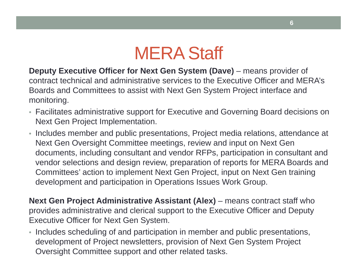**Deputy Executive Officer for Next Gen System (Dave)** – means provider of contract technical and administrative services to the Executive Officer and MERA's Boards and Committees to assist with Next Gen System Project interface and monitoring.

- Facilitates administrative support for Executive and Governing Board decisions on Next Gen Project Implementation.
- Includes member and public presentations, Project media relations, attendance at Next Gen Oversight Committee meetings, review and input on Next Gen documents, including consultant and vendor RFPs, participation in consultant and vendor selections and design review, preparation of reports for MERA Boards and Committees' action to implement Next Gen Project, input on Next Gen training development and participation in Operations Issues Work Group.

**Next Gen Project Administrative Assistant (Alex)** – means contract staff who provides administrative and clerical support to the Executive Officer and Deputy Executive Officer for Next Gen System.

• Includes scheduling of and participation in member and public presentations, development of Project newsletters, provision of Next Gen System Project Oversight Committee support and other related tasks.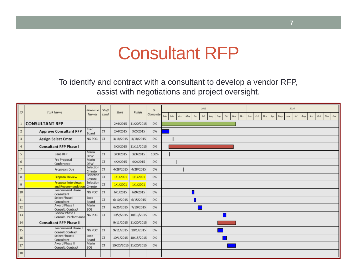#### Consultant RFP

To identify and contract with a consultant to develop a vendor RFP, assist with negotiations and project oversight.

| ID                      | <b>Task Name</b>                                | Resource<br><b>Names</b> | Staff<br>Lead | Start                 | Finish               | %<br>Complete | 2015<br>2016<br>Feb<br>Mar<br>May<br>Oct<br>Dec<br>$A \rho r$<br>Jul<br>Aug<br>Sep<br>Nov<br>Dec.<br><b>Jan</b><br>Mar<br>Apr<br>May<br>Sep<br>Oct<br><b>Nov</b><br>Jun<br>Feb<br>лип<br>Jul<br>Aug |
|-------------------------|-------------------------------------------------|--------------------------|---------------|-----------------------|----------------------|---------------|-----------------------------------------------------------------------------------------------------------------------------------------------------------------------------------------------------|
|                         | <b>CONSULTANT RFP</b>                           |                          |               | 2/4/2015              | 11/20/2015           | 0%            |                                                                                                                                                                                                     |
| $\overline{2}$          | <b>Approve Consultant RFP</b>                   | Exec<br>Board            | CT            | 2/4/2015              | 3/2/2015             | 0%            |                                                                                                                                                                                                     |
| $\overline{\mathbf{3}}$ | <b>Assign Select Cmte</b>                       | NG POC                   | CT            | 3/18/2015             | 3/18/2015            | 0%            |                                                                                                                                                                                                     |
| $\overline{4}$          | <b>Consultant RFP Phase I</b>                   |                          |               | 3/2/2015              | 11/11/2015           | 0%            |                                                                                                                                                                                                     |
| 5                       | Issue RFP                                       | Marin<br>DPW             | CT            | 3/3/2015              | 3/3/2015             | 100%          |                                                                                                                                                                                                     |
| 6                       | Pre Proposal<br>Conference                      | Marin<br>DPW             | CT            | 4/2/2015              | 4/2/2015             | 0%            |                                                                                                                                                                                                     |
| $\overline{7}$          | Proposals Due                                   | Selection<br>Cmmte       | CT            | 4/28/2015             | 4/28/2015            | 0%            |                                                                                                                                                                                                     |
| 8                       | <b>Proposal Review</b>                          | Selection<br>Cmmte       | CT            | 1/1/2001              | 1/1/2001             | 0%            |                                                                                                                                                                                                     |
| 9                       | <b>Proposal Interviews</b><br>and Recommendatio | Selection<br>Cmmte       | CT            | 1/1/2001              | 1/1/2001             | 0%            |                                                                                                                                                                                                     |
| 10                      | Recommend Phase I<br>Consultant                 | NG POC                   | CT            | 6/1/2015              | 6/9/2015             | 0%            |                                                                                                                                                                                                     |
| 11                      | Select Phase I<br>Consultant                    | Exec<br>Board            | <b>CT</b>     | 6/10/2015             | 6/15/2015            | 0%            |                                                                                                                                                                                                     |
| 12                      | Award Phase I<br>Consult. Contract              | Marin<br><b>BOS</b>      | CT            | 6/25/2015             | 7/10/2015            | 0%            |                                                                                                                                                                                                     |
| 13                      | Review Phase I<br>Consult. Performance          | NG POC                   | CT            |                       | 10/2/2015 10/13/2015 | 0%            |                                                                                                                                                                                                     |
| 14                      | <b>Consultant RFP Phase II</b>                  |                          |               |                       | 9/11/2015 11/20/2015 | 0%            |                                                                                                                                                                                                     |
| 15                      | Recommend Phase II<br>Consult Contract          | NG POC                   | CT            | 9/11/2015             | 10/1/2015            | 0%            |                                                                                                                                                                                                     |
| 16                      | Select Phase II<br>Consultant                   | Exec<br>Board            | CT            |                       | 10/1/2015 10/15/2015 | 0%            |                                                                                                                                                                                                     |
| 17                      | Award Phase II<br>Consult. Contract             | Marin<br><b>BOS</b>      | CT            | 10/20/2015 11/20/2015 |                      | 0%            |                                                                                                                                                                                                     |
| 18                      |                                                 |                          |               |                       |                      |               |                                                                                                                                                                                                     |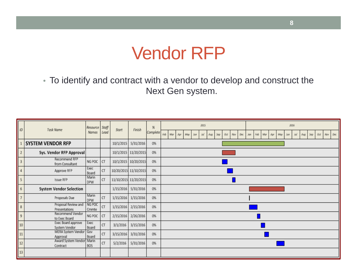#### Vendor RFP

• To identify and contract with a vendor to develop and construct the Next Gen system.

| $ID$                    | Task Name                             | Resource            | Staff      | Start                 | Finish               | %        | 2015<br>2016 |     |     |     |     |     |     |     |            |     |     |            |     |     |     |     |     |     |     |     |     |       |     |
|-------------------------|---------------------------------------|---------------------|------------|-----------------------|----------------------|----------|--------------|-----|-----|-----|-----|-----|-----|-----|------------|-----|-----|------------|-----|-----|-----|-----|-----|-----|-----|-----|-----|-------|-----|
|                         | Names                                 |                     | Lead       |                       |                      | Complete | Feb          | Mar | Apr | May | Jun | Jul | Aug | Sep | <b>Oct</b> | Nov | Dec | <b>Jan</b> | Feb | Mar | Apr | May | Jun | Jul | Aug | Sep | Oct | Nov 1 | Dec |
|                         | <b>SYSTEM VENDOR RFP</b>              |                     |            | 10/1/2015             | 5/31/2016            | 0%       |              |     |     |     |     |     |     |     |            |     |     |            |     |     |     |     |     |     |     |     |     |       |     |
| $\overline{2}$          | Sys. Vendor RFP Approval              |                     |            |                       | 10/1/2015 11/20/2015 | 0%       |              |     |     |     |     |     |     |     |            |     |     |            |     |     |     |     |     |     |     |     |     |       |     |
| $\overline{\mathbf{3}}$ | Recommend RFP<br>from Consultant      | NG POC              | CT         |                       | 10/1/2015 10/20/2015 | 0%       |              |     |     |     |     |     |     |     |            |     |     |            |     |     |     |     |     |     |     |     |     |       |     |
| $\overline{4}$          | Approve RFP                           | Exec<br>Board       | CT         | 10/20/2015 11/10/2015 |                      | 0%       |              |     |     |     |     |     |     |     |            |     |     |            |     |     |     |     |     |     |     |     |     |       |     |
| 5                       | Issue RFP                             | Marin<br><b>DPW</b> | CT         | 11/10/2015 11/20/2015 |                      | 0%       |              |     |     |     |     |     |     |     |            |     |     |            |     |     |     |     |     |     |     |     |     |       |     |
| 6                       | <b>System Vendor Selection</b>        |                     |            |                       | 1/15/2016 5/31/2016  | 0%       |              |     |     |     |     |     |     |     |            |     |     |            |     |     |     |     |     |     |     |     |     |       |     |
| $\overline{7}$          | Proposals Due                         | Marin<br>DPW        | CT         | 1/15/2016             | 1/15/2016            | 0%       |              |     |     |     |     |     |     |     |            |     |     |            |     |     |     |     |     |     |     |     |     |       |     |
| 8                       | Proposal Review and<br>Presentations  | NG POC<br>Cmmte     | CT         | 1/15/2016             | 2/15/2016            | 0%       |              |     |     |     |     |     |     |     |            |     |     |            |     |     |     |     |     |     |     |     |     |       |     |
| 9                       | Recommend Vendor<br>to Exec Board     | NG POC              | CT         | 2/15/2016             | 2/26/2016            | 0%       |              |     |     |     |     |     |     |     |            |     |     |            |     |     |     |     |     |     |     |     |     |       |     |
| 10                      | Exec Board approve<br>System Vendor   | Exec<br>Board       | ${\sf CT}$ | 3/1/2016              | 3/15/2016            | 0%       |              |     |     |     |     |     |     |     |            |     |     |            |     |     |     |     |     |     |     |     |     |       |     |
| 11                      | MERA System Vendor<br>Approval        | Gov<br>Board        | CT         | 3/15/2016             | 3/31/2016            | 0%       |              |     |     |     |     |     |     |     |            |     |     |            |     |     |     |     |     |     |     |     |     |       |     |
| 12                      | Award System Vendor Marin<br>Contract | <b>BOS</b>          | CT         | 5/2/2016              | 5/31/2016            | 0%       |              |     |     |     |     |     |     |     |            |     |     |            |     |     |     |     |     |     |     |     |     |       |     |
| 13                      |                                       |                     |            |                       |                      |          |              |     |     |     |     |     |     |     |            |     |     |            |     |     |     |     |     |     |     |     |     |       |     |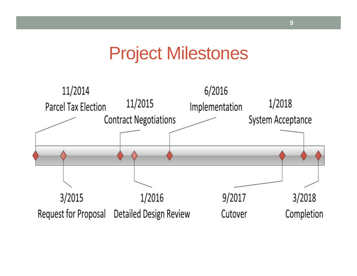#### Project Milestones

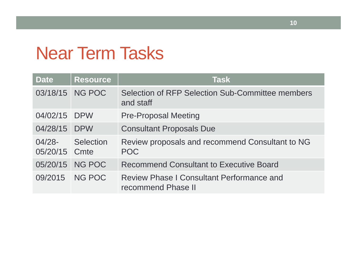# Near Term Tasks

| <b>Date</b>                | <b>Resource</b>  | <b>Task</b>                                                            |
|----------------------------|------------------|------------------------------------------------------------------------|
|                            | 03/18/15 NG POC  | Selection of RFP Selection Sub-Committee members<br>and staff          |
| 04/02/15 DPW               |                  | <b>Pre-Proposal Meeting</b>                                            |
| 04/28/15                   | <b>DPW</b>       | <b>Consultant Proposals Due</b>                                        |
| $04/28 -$<br>05/20/15 Cmte | <b>Selection</b> | Review proposals and recommend Consultant to NG<br><b>POC</b>          |
| 05/20/15                   | NG POC           | <b>Recommend Consultant to Executive Board</b>                         |
| 09/2015                    | NG POC           | <b>Review Phase I Consultant Performance and</b><br>recommend Phase II |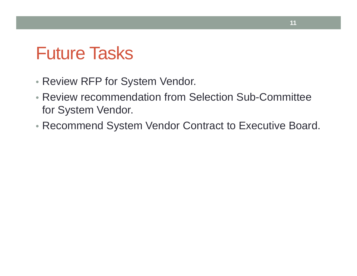#### Future Tasks

- Review RFP for System Vendor.
- Review recommendation from Selection Sub-Committee for System Vendor.
- Recommend System Vendor Contract to Executive Board.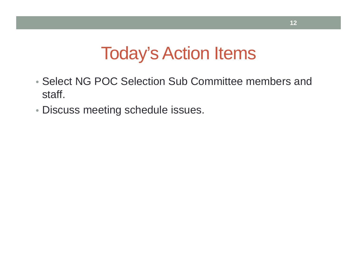# Today's Action Items

- Select NG POC Selection Sub Committee members and staff.
- Discuss meeting schedule issues.